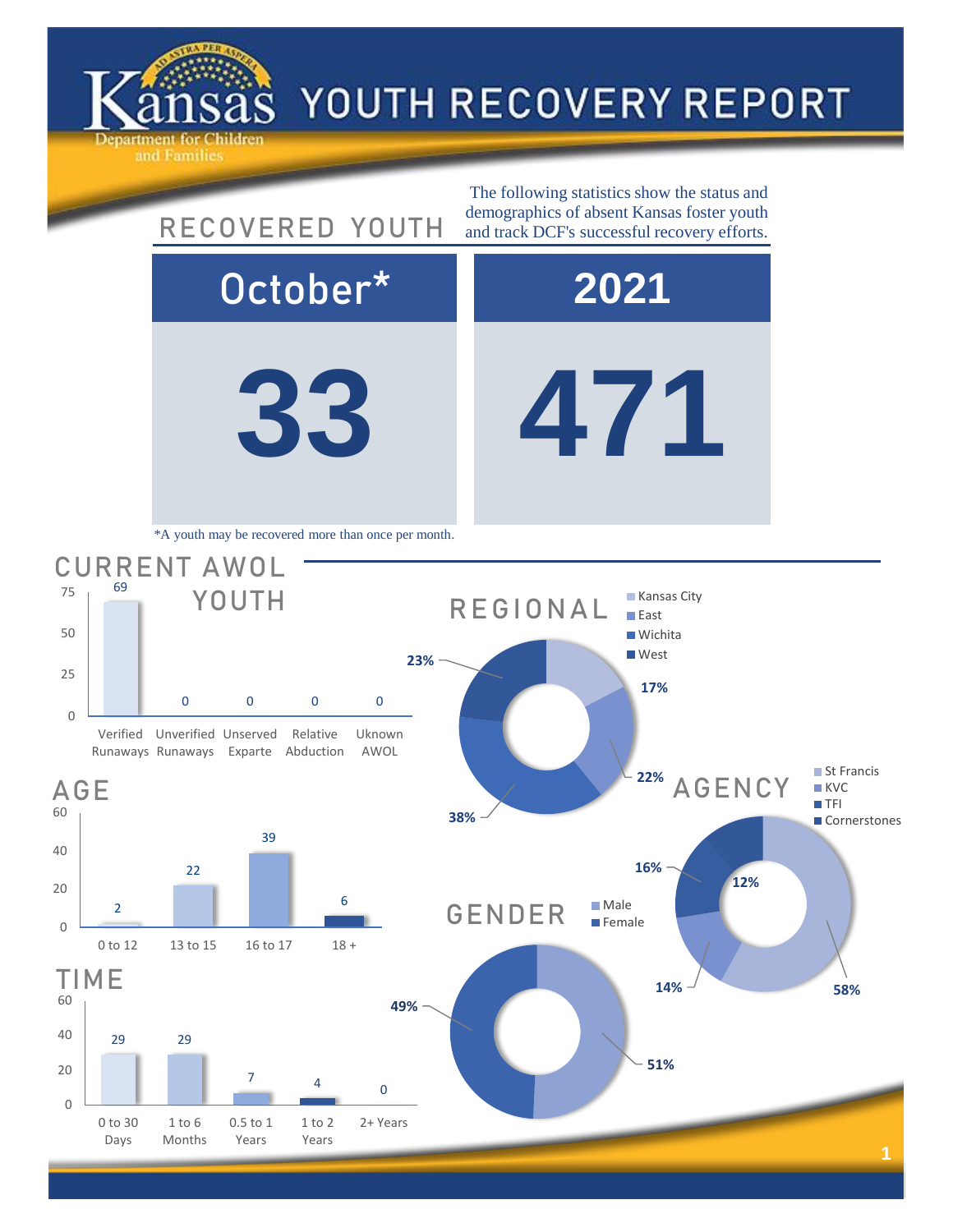

## YOUTH RECOVERY REPORT

**33 471** October\* **2021** 0 0 0 0 CURRENT AWOL YOUTH The following statistics show the status and RECOVERED YOUTH demographics of absent Kansas foster youth and track DCF's successful recovery efforts. \*A youth may be recovered more than once per month. **17% 23%** REGIONAL **Kansas City East Wichita West** 

Verified Unverified Unserved Runaways Runaways Exparte Abduction Relative Uknown AWOL

69

0

25

50

75